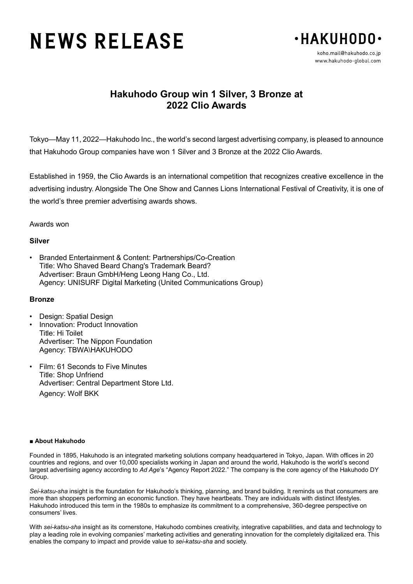# **NEWS RELEASE**



# **Hakuhodo Group win 1 Silver, 3 Bronze at 2022 Clio Awards**

Tokyo—May 11, 2022—Hakuhodo Inc., the world's second largest advertising company, is pleased to announce that Hakuhodo Group companies have won 1 Silver and 3 Bronze at the 2022 Clio Awards.

Established in 1959, the Clio Awards is an international competition that recognizes creative excellence in the advertising industry. Alongside The One Show and Cannes Lions International Festival of Creativity, it is one of the world's three premier advertising awards shows.

## Awards won

### **Silver**

• Branded Entertainment & Content: Partnerships/Co-Creation Title: Who Shaved Beard Chang's Trademark Beard? Advertiser: Braun GmbH/Heng Leong Hang Co., Ltd. Agency: UNISURF Digital Marketing (United Communications Group)

#### **Bronze**

- Design: Spatial Design
- Innovation: Product Innovation Title: Hi Toilet Advertiser: The Nippon Foundation Agency: TBWA\HAKUHODO
- Film: 61 Seconds to Five Minutes Title: Shop Unfriend Advertiser: Central Department Store Ltd. Agency: Wolf BKK

#### ■ **About Hakuhodo**

Founded in 1895, Hakuhodo is an integrated marketing solutions company headquartered in Tokyo, Japan. With offices in 20 countries and regions, and over 10,000 specialists working in Japan and around the world, Hakuhodo is the world's second largest advertising agency according to *Ad Age*'s "Agency Report 2022." The company is the core agency of the Hakuhodo DY Group.

*Sei-katsu-sha* insight is the foundation for Hakuhodo's thinking, planning, and brand building. It reminds us that consumers are more than shoppers performing an economic function. They have heartbeats. They are individuals with distinct lifestyles. Hakuhodo introduced this term in the 1980s to emphasize its commitment to a comprehensive, 360-degree perspective on consumers' lives.

With *sei-katsu-sha* insight as its cornerstone, Hakuhodo combines creativity, integrative capabilities, and data and technology to play a leading role in evolving companies' marketing activities and generating innovation for the completely digitalized era. This enables the company to impact and provide value to *sei-katsu-sha* and society.